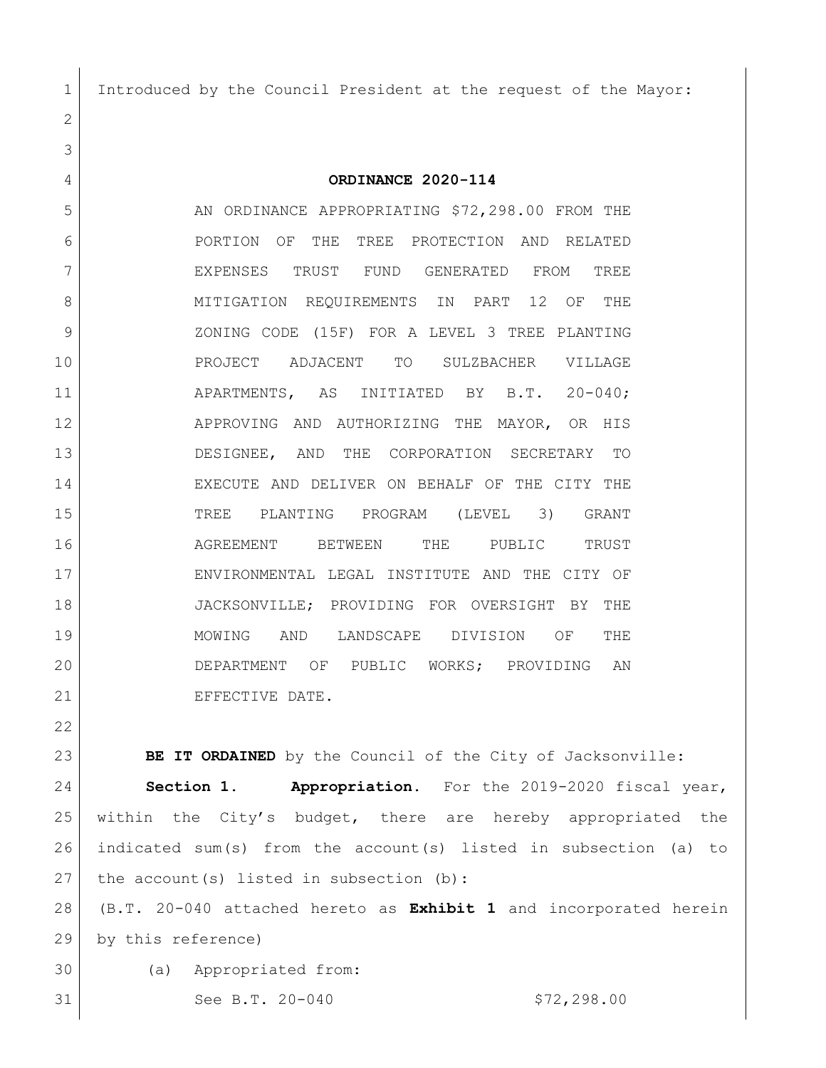Introduced by the Council President at the request of the Mayor:

 **ORDINANCE 2020-114** 5 AN ORDINANCE APPROPRIATING \$72,298.00 FROM THE **PORTION OF THE TREE PROTECTION AND RELATED**  EXPENSES TRUST FUND GENERATED FROM TREE 8 MITIGATION REQUIREMENTS IN PART 12 OF THE ZONING CODE (15F) FOR A LEVEL 3 TREE PLANTING PROJECT ADJACENT TO SULZBACHER VILLAGE 11 APARTMENTS, AS INITIATED BY B.T. 20-040; 12 APPROVING AND AUTHORIZING THE MAYOR, OR HIS DESIGNEE, AND THE CORPORATION SECRETARY TO EXECUTE AND DELIVER ON BEHALF OF THE CITY THE TREE PLANTING PROGRAM (LEVEL 3) GRANT AGREEMENT BETWEEN THE PUBLIC TRUST ENVIRONMENTAL LEGAL INSTITUTE AND THE CITY OF 18 JACKSONVILLE; PROVIDING FOR OVERSIGHT BY THE MOWING AND LANDSCAPE DIVISION OF THE DEPARTMENT OF PUBLIC WORKS; PROVIDING AN 21 EFFECTIVE DATE.

**BE IT ORDAINED** by the Council of the City of Jacksonville: **Section 1. Appropriation.** For the 2019-2020 fiscal year, within the City's budget, there are hereby appropriated the indicated sum(s) from the account(s) listed in subsection (a) to 27 the account(s) listed in subsection  $(b)$ :

 (B.T. 20-040 attached hereto as **Exhibit 1** and incorporated herein by this reference)

(a) Appropriated from:

31 See B.T. 20-040 \$72,298.00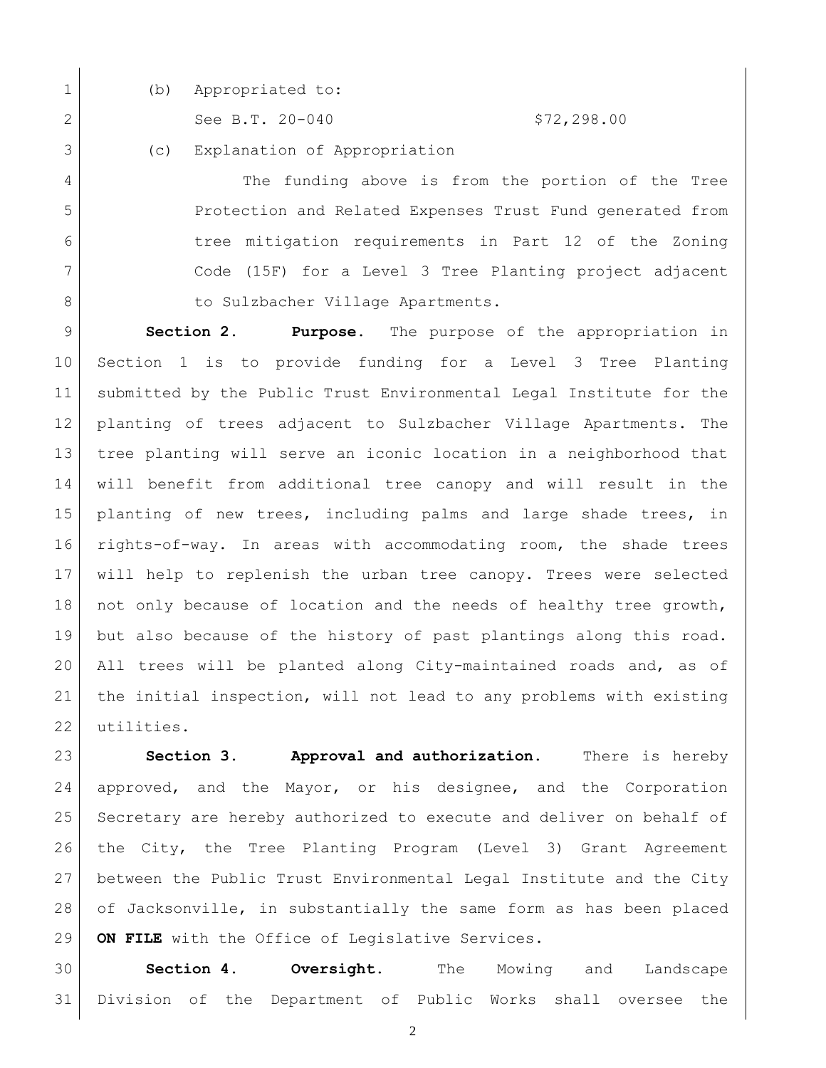- 
- 1 (b) Appropriated to:

2 See B.T. 20-040 \$72,298.00

(c) Explanation of Appropriation

 The funding above is from the portion of the Tree Protection and Related Expenses Trust Fund generated from tree mitigation requirements in Part 12 of the Zoning Code (15F) for a Level 3 Tree Planting project adjacent 8 | to Sulzbacher Village Apartments.

 **Section 2. Purpose.** The purpose of the appropriation in Section 1 is to provide funding for a Level 3 Tree Planting submitted by the Public Trust Environmental Legal Institute for the planting of trees adjacent to Sulzbacher Village Apartments. The tree planting will serve an iconic location in a neighborhood that will benefit from additional tree canopy and will result in the planting of new trees, including palms and large shade trees, in rights-of-way. In areas with accommodating room, the shade trees will help to replenish the urban tree canopy. Trees were selected 18 not only because of location and the needs of healthy tree growth, but also because of the history of past plantings along this road. All trees will be planted along City-maintained roads and, as of the initial inspection, will not lead to any problems with existing utilities.

 **Section 3. Approval and authorization.** There is hereby approved, and the Mayor, or his designee, and the Corporation Secretary are hereby authorized to execute and deliver on behalf of the City, the Tree Planting Program (Level 3) Grant Agreement between the Public Trust Environmental Legal Institute and the City of Jacksonville, in substantially the same form as has been placed **ON FILE** with the Office of Legislative Services.

 **Section 4. Oversight.** The Mowing and Landscape Division of the Department of Public Works shall oversee the